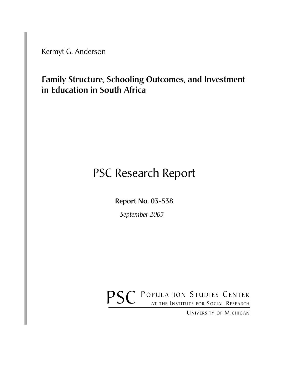Kermyt G. Anderson

Family Structure, Schooling Outcomes, and Investment in Education in South Africa

# PSC Research Report

Report No. 03-538

*September 2003*

POPULATION STUDIES CENTER **PSC** POPULATION STUDIES CENTER

UNIVERSITY OF MICHIGAN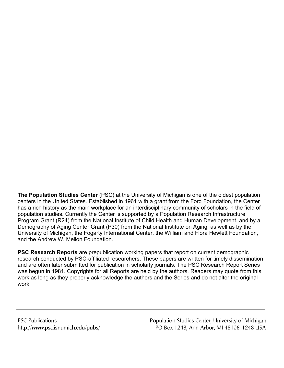**The Population Studies Center** (PSC) at the University of Michigan is one of the oldest population centers in the United States. Established in 1961 with a grant from the Ford Foundation, the Center has a rich history as the main workplace for an interdisciplinary community of scholars in the field of population studies. Currently the Center is supported by a Population Research Infrastructure Program Grant (R24) from the National Institute of Child Health and Human Development, and by a Demography of Aging Center Grant (P30) from the National Institute on Aging, as well as by the University of Michigan, the Fogarty International Center, the William and Flora Hewlett Foundation, and the Andrew W. Mellon Foundation.

**PSC Research Reports** are prepublication working papers that report on current demographic research conducted by PSC-affiliated researchers. These papers are written for timely dissemination and are often later submitted for publication in scholarly journals. The PSC Research Report Series was begun in 1981. Copyrights for all Reports are held by the authors. Readers may quote from this work as long as they properly acknowledge the authors and the Series and do not alter the original work.

PSC Publications **Population Studies Center, University of Michigan** http://www.psc.isr.umich.edu/pubs/ PO Box 1248, Ann Arbor, MI 48106-1248 USA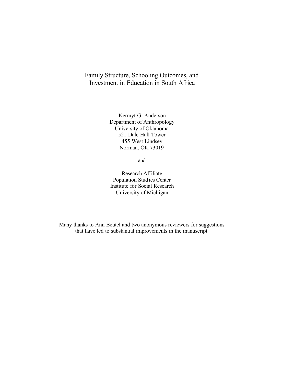## Family Structure, Schooling Outcomes, and Investment in Education in South Africa

Kermyt G. Anderson Department of Anthropology University of Oklahoma 521 Dale Hall Tower 455 West Lindsey Norman, OK 73019

and

Research Affiliate Population Studies Center Institute for Social Research University of Michigan

Many thanks to Ann Beutel and two anonymous reviewers for suggestions that have led to substantial improvements in the manuscript.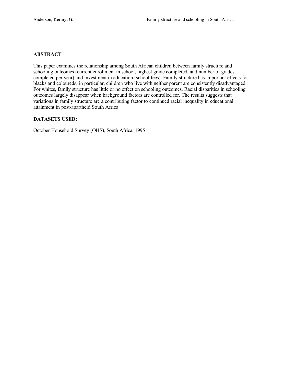#### **ABSTRACT**

This paper examines the relationship among South African children between family structure and schooling outcomes (current enrollment in school, highest grade completed, and number of grades completed per year) and investment in education (school fees). Family structure has important effects for blacks and coloureds; in particular, children who live with neither parent are consistently disadvantaged. For whites, family structure has little or no effect on schooling outcomes. Racial disparities in schooling outcomes largely disappear when background factors are controlled for. The results suggests that variations in family structure are a contributing factor to continued racial inequality in educational attainment in post-apartheid South Africa.

#### **DATASETS USED:**

October Household Survey (OHS), South Africa, 1995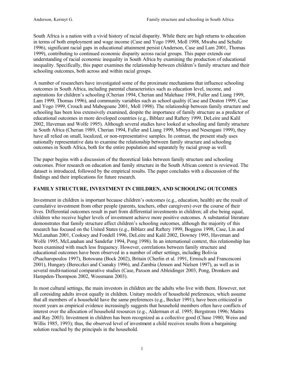South Africa is a nation with a vivid history of racial disparity. While there are high returns to education in terms of both employment and wage income (Case and Yogo 1999, Moll 1998, Mwabu and Schultz 1996), significant racial gaps in educational attainment persist (Anderson, Case and Lam 2001, Thomas 1999), contributing to continued economic disparity across racial groups. This paper extends our understanding of racial economic inequality in South Africa by examining the production of educational inequality. Specifically, this paper examines the relationship between children's family structure and their schooling outcomes, both across and within racial groups.

A number of researchers have investigated some of the proximate mechanisms that influence schooling outcomes in South Africa, including parental characteristics such as education level, income, and aspirations for children's schooling (Cherian 1994, Cherian and Malehase 1998, Fuller and Liang 1999, Lam 1999, Thomas 1996), and community variables such as school quality (Case and Deaton 1999, Case and Yogo 1999, Crouch and Mabogoane 2001, Moll 1998). The relationship between family structure and schooling has been less extensively examined, despite the importance of family structure as a predictor of educational outcomes in more developed countries (e.g., Biblarz and Raftery 1999, DeLeire and Kalil 2002, Haveman and Wolfe 1995). Although several studies have looked at schooling and family structure in South Africa (Cherian 1989, Cherian 1994, Fuller and Liang 1999, Mboya and Nesengani 1999), they have all relied on small, localized, or non-representative samples. In contrast, the present study uses nationally representative data to examine the relationship between family structure and schooling outcomes in South Africa, both for the entire population and separately by racial group as well.

The paper begins with a discussion of the theoretical links between family structure and schooling outcomes. Prior research on education and family structure in the South African context is reviewed. The dataset is introduced, followed by the empirical results. The paper concludes with a discussion of the findings and their implications for future research.

#### **FAMILY STRUCTURE, INVESTMENT IN CHILDREN, AND SCHOOLING OUTCOMES**

Investment in children is important because children's outcomes (e.g., education, health) are the result of cumulative investment from other people (parents, teachers, other caregivers) over the course of their lives. Differential outcomes result in part from differential investments in children; all else being equal, children who receive higher levels of investment achieve more positive outcomes. A substantial literature demonstrates that family structure affect children's schooling outcomes, although the majority of this research has focused on the United States (e.g., Biblarz and Raftery 1999, Boggess 1998, Case, Lin and McLanahan 2001, Cooksey and Fondell 1996, DeLeire and Kalil 2002, Downey 1995, Haveman and Wolfe 1995, McLanahan and Sandefur 1994, Pong 1998). In an international context, this relationship has been examined with much less frequency. However, correlations between family structure and educational outcomes have been observed in a number of other settings, including Bolivia (Psacharopoulos 1997), Botswana (Bock 2002), Britain (Cherlin et al. 1991, Ermisch and Francesconi 2001), Hungary (Bereczkei and Csanaky 1996), and Zambia (Jensen and Nielsen 1997), as well as in several multi-national comparative studies (Case, Paxson and Ableidinger 2003, Pong, Dronkers and Hampden-Thompson 2002, Wossmann 2003).

In most cultural settings, the main investors in children are the adults who live with them. However, not all coresiding adults invest equally in children. Unitary models of household preferences, which assume that all members of a household have the same preferences (e.g., Becker 1991), have been criticized in recent years as empirical evidence increasingly suggests that household members often have conflicts of interest over the allocation of household resources (e.g., Alderman et al. 1995; Bergstrom 1996; Maitra and Ray 2003). Investment in children has been recognized as a collective good (Chase 1980; Weiss and Willis 1985, 1993); thus, the observed level of investment a child receives results from a bargaining solution reached by the principals in the household.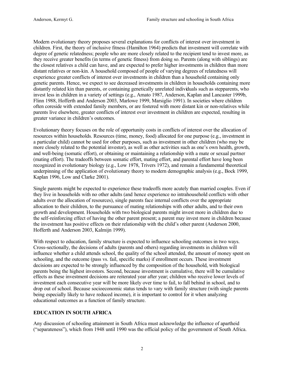Modern evolutionary theory proposes several explanations for conflicts of interest over investment in children. First, the theory of inclusive fitness (Hamilton 1964) predicts that investment will correlate with degree of genetic relatedness; people who are more closely related to the recipient tend to invest more, as they receive greater benefits (in terms of genetic fitness) from doing so. Parents (along with siblings) are the closest relatives a child can have, and are expected to prefer higher investments in children than more distant relatives or non-kin. A household composed of people of varying degrees of relatedness will experience greater conflicts of interest over investments in children than a household containing only genetic parents. Hence, we expect to see decreased investments in children in households containing more distantly related kin than parents, or containing genetically unrelated individuals such as stepparents, who invest less in children in a variety of settings (e.g., Amato 1987, Anderson, Kaplan and Lancaster 1999b, Flinn 1988, Hofferth and Anderson 2003, Marlowe 1999, Marsiglio 1991). In societies where children often coreside with extended family members, or are fostered with more distant kin or non-relatives while parents live elsewhere, greater conflicts of interest over investment in children are expected, resulting in greater variance in children's outcomes.

Evolutionary theory focuses on the role of opportunity costs in conflicts of interest over the allocation of resources within households. Resources (time, money, food) allocated for one purpose (e.g., investment in a particular child) cannot be used for other purposes, such as investment in other children (who may be more closely related to the potential investor), as well as other activities such as one's own health, growth, and well-being (somatic effort), or obtaining or maintaining a relationship with a mate or sexual partner (mating effort). The tradeoffs between somatic effort, mating effort, and parental effort have long been recognized in evolutionary biology (e.g., Low 1978, Trivers 1972), and remain a fundamental theoretical underpinning of the application of evolutionary theory to modern demographic analysis (e.g., Bock 1999, Kaplan 1996, Low and Clarke 2001).

Single parents might be expected to experience these tradeoffs more acutely than married couples. Even if they live in households with no other adults (and hence experience no intrahousehold conflicts with other adults over the allocation of resources), single parents face internal conflicts over the appropriate allocation to their children, to the pursuance of mating relationships with other adults, and to their own growth and development. Households with two biological parents might invest more in children due to the self-reinforcing effect of having the other parent present; a parent may invest more in children because the investment has positive effects on their relationship with the child's other parent (Anderson 2000, Hofferth and Anderson 2003, Kalmijn 1999).

With respect to education, family structure is expected to influence schooling outcomes in two ways. Cross-sectionally, the decisions of adults (parents and others) regarding investments in children will influence whether a child attends school, the quality of the school attended, the amount of money spent on schooling, and the outcome (pass vs. fail, specific marks) if enrollment occurs. These investment decisions are expected to be strongly influenced by the composition of the household, with biological parents being the highest investors. Second, because investment is cumulative, there will be cumulative effects as these investment decisions are reiterated year after year; children who receive lower levels of investment each consecutive year will be more likely over time to fail, to fall behind in school, and to drop out of school. Because socioeconomic status tends to vary with family structure (with single parents being especially likely to have reduced income), it is important to control for it when analyzing educational outcomes as a function of family structure.

## **EDUCATION IN SOUTH AFRICA**

Any discussion of schooling attainment in South Africa must acknowledge the influence of apartheid ("separateness"), which from 1948 until 1990 was the official policy of the government of South Africa.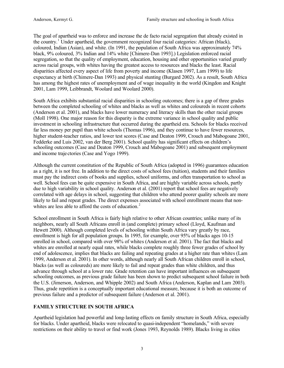The goal of apartheid was to enforce and increase the de facto racial segregation that already existed in the country.<sup>1</sup> Under apartheid, the government recognized four racial categories: African (black), coloured, Indian (Asian), and white. (In 1991, the population of South Africa was approximately 74% black, 9% coloured, 3% Indian and 14% white [Chimere-Dan 1993].) Legislation enforced racial segregation, so that the quality of employment, education, housing and other opportunities varied greatly across racial groups, with whites having the greatest access to resources and blacks the least. Racial disparities affected every aspect of life from poverty and income (Klasen 1997, Lam 1999) to life expectancy at birth (Chimere-Dan 1993) and physical stunting (Burgard 2002). As a result, South Africa has among the highest rates of unemployment and of wage inequality in the world (Kingdon and Knight 2001, Lam 1999, Leibbrandt, Woolard and Woolard 2000).

South Africa exhibits substantial racial disparities in schooling outcomes; there is a gap of three grades between the completed schooling of whites and blacks as well as whites and coloureds in recent cohorts (Anderson et al. 2001), and blacks have lower numeracy and literacy skills than the other racial groups (Moll 1998). One major reason for this disparity is the extreme variance in school quality and public investment in schooling infrastructure that occurred during the apartheid era. Schools for blacks received far less money per pupil than white schools (Thomas 1996), and they continue to have fewer resources, higher student-teacher ratios, and lower test scores (Case and Deaton 1999, Crouch and Mabogoane 2001, Fedderke and Luis 2002, van der Berg 2001). School quality has significant effects on children's schooling outcomes (Case and Deaton 1999, Crouch and Mabogoane 2001) and subsequent employment and income traje ctories (Case and Yogo 1999).

Although the current constitution of the Republic of South Africa (adopted in 1996) guarantees education as a right, it is not free. In addition to the direct costs of school fees (tuition), students and their families must pay the indirect costs of books and supplies, school uniforms, and often transportation to school as well. School fees can be quite expensive in South Africa, and are highly variable across schools, partly due to high variability in school quality. Anderson et al. (2001) report that school fees are negatively correlated with age delays in school, suggesting that children who attend poorer quality schools are more likely to fail and repeat grades. The direct expenses associated with school enrollment means that nonwhites are less able to afford the costs of education.<sup>2</sup>

School enrollment in South Africa is fairly high relative to other African countries; unlike many of its neighbors, nearly all South Africans enroll in (and complete) primary school (Lloyd, Kaufman and Hewett 2000). Although completed levels of schooling within South Africa vary greatly by race, enrollment is high for all population groups. In 1995, for example, over 95% of blacks ages 10-15 enrolled in school, compared with over 98% of whites (Anderson et al. 2001). The fact that blacks and whites are enrolled at nearly equal rates, while blacks complete roughly three fewer grades of school by end of adolescence, implies that blacks are failing and repeating grades at a higher rate than whites (Lam 1999, Anderson et al. 2001). In other words, although nearly all South African children enroll in school, blacks (as well as coloureds) are more likely to fail and repeat grades than white children, and thus advance through school at a lower rate. Grade retention can have important influences on subsequent schooling outcomes, as previous grade failure has been shown to predict subsequent school failure in both the U.S. (Jimerson, Anderson, and Whipple 2002) and South Africa (Anderson, Kaplan and Lam 2003). Thus, grade repetition is a conceptually important educational measure, because it is both an outcome of previous failure and a predictor of subsequent failure (Anderson et al. 2001).

## **FAMILY STRUCTURE IN SOUTH AFRICA**

Apartheid legislation had powerful and long-lasting effects on family structure in South Africa, especially for blacks. Under apartheid, blacks were relocated to quasi-independent "homelands," with severe restrictions on their ability to travel or find work (Jones 1993, Reynolds 1989). Blacks living in cities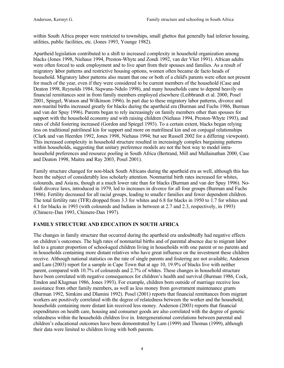within South Africa proper were restricted to townships, small ghettos that generally had inferior housing, utilities, public facilities, etc. (Jones 1993, Younge 1982).

Apartheid legislation contributed to a shift to increased complexity in household organization among blacks (Jones 1998, Niehaus 1994, Preston-Whyte and Zondi 1992, van der Vliet 1991). African adults were often forced to seek employment and to live apart from their spouses and families. As a result of migratory labor patterns and restrictive housing options, women often became de facto heads of household. Migratory labor patterns also meant that one or both of a child's parents were often not present for much of the year, even if they were considered to be current members of the household (Case and Deaton 1998, Reynolds 1984, Siqwana-Ndulo 1998), and many households came to depend heavily on financial remittances sent in from family members employed elsewhere (Leibbrandt et al. 2000, Posel 2001, Spiegel, Watson and Wilkinson 1996). In part due to these migratory labor patterns, divorce and non-marital births increased greatly for blacks during the apartheid era (Burman and Fuchs 1986, Burman and van der Spuy 1996). Parents began to rely increasingly on family members other than spouses for support with the household economy and with raising children (Niehaus 1994, Preston-Whyte 1993), and rates of child fostering increased (Gordon and Spiegel 1993). To a certain extent, blacks began relying less on traditional patrilineal kin for support and more on matrilineal kin and on conjugal relationships (Clark and van Heerden 1992, Jones 1998, Niehaus 1994; but see Russell 2002 for a differing viewpoint). This increased complexity in household structure resulted in increasingly complex bargaining patterns within households, suggesting that unitary preference models are not the best way to model intrahousehold preferences and resource pooling in South Africa (Bertrand, Mill and Mullainathan 2000, Case and Deaton 1998, Maitra and Ray 2003, Posel 2001).

Family structure changed for non-black South Africans during the apartheid era as well, although this has been the subject of considerably less scholarly attention. Nonmarital birth rates increased for whites, coloureds, and Asians, though at a much lower rate than for blacks (Burman and van der Spuy 1996). Nofault divorce laws, introduced in 1979, led to increases in divorce for all four groups (Burman and Fuchs 1986). Fertility decreased for all racial groups, leading to smalle r families and fewer dependent children. The total fertility rate (TFR) dropped from 3.3 for whites and 6.8 for blacks in 1950 to 1.7 for whites and 4.1 for blacks in 1993 (with coloureds and Indians in between at 2.7 and 2.3, respectively, in 1993) (Chimere-Dan 1993, Chimere-Dan 1997).

#### **FAMILY STRUCTURE AND EDUCATION IN SOUTH AFRICA**

The changes in family structure that occurred during the apartheid era undoubtedly had negative effects on children's outcomes. The high rates of nonmarital births and of parental absence due to migrant labor led to a greater proportion of school-aged children living in households with one parent or no parents and in households containing more distant relatives who have great influence on the investment these children receive. Although national statistics on the rate of single parents and fostering are not available, Anderson and Lam (2003) report for a sample in Cape Town that at age 10, 19.9% of blacks live with neither parent, compared with 10.7% of coloureds and 2.7% of whites. These changes in household structure have been correlated with negative consequences for children's health and survival (Burman 1986, Cock, Emdon and Klugman 1986, Jones 1993). For example, children born outside of marriage receive less assistance from other family members, as well as less money from government maintenance grants (Burman 1992, Simkins and Dlamini 1992). Posel (2001) reports that financial remittances from migrant workers are positively correlated with the degree of relatedness between the worker and the household; households containing more distant kin received less money. Anderson (2003) reports that financial expenditures on health care, housing and consumer goods are also correlated with the degree of genetic relatedness within the households children live in. Intergenerational correlations between parental and children's educational outcomes have been demonstrated by Lam (1999) and Thomas (1999), although their data were limited to children living with both parents.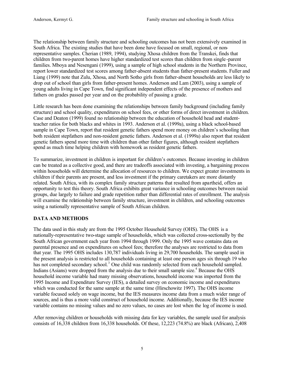The relationship between family structure and schooling outcomes has not been extensively examined in South Africa. The existing studies that have been done have focused on small, regional, or nonrepresentative samples. Cherian (1989, 1994), studying Xhosa children from the Transkei, finds that children from two-parent homes have higher standardized test scores than children from single -parent families. Mboya and Nesengani (1999), using a sample of high school students in the Northern Province, report lower standardized test scores among father-absent students than father-present students. Fuller and Liang (1999) note that Zulu, Xhosa, and North Sotho girls from father-absent households are less likely to drop out of school than girls from father-present homes. Anderson and Lam (2003), using a sample of young adults living in Cape Town, find significant independent effects of the presence of mothers and fathers on grades passed per year and on the probability of passing a grade.

Little research has been done examining the relationships between family background (including family structure) and school quality, expenditures on school fees, or other forms of direct investment in children. Case and Deaton (1999) found no relationship between the education of household head and studentteacher ratios for both blacks and whites in 1993. Anderson et al. (1999a), using a black school-based sample in Cape Town, report that resident genetic fathers spend more money on children's schooling than both resident stepfathers and non-resident genetic fathers. Anderson et al. (1999a) also report that resident genetic fathers spend more time with children than other father figures, although resident stepfathers spend as much time helping children with homework as resident genetic fathers.

To summarize, investment in children is important for children's outcomes. Because investing in children can be treated as a collective good, and there are tradeoffs associated with investing, a bargaining process within households will determine the allocation of resources to children. We expect greater investments in children if their parents are present, and less investment if the primary caretakers are more distantly related. South Africa, with its complex family structure patterns that resulted from apartheid, offers an opportunity to test this theory. South Africa exhibits great variance in schooling outcomes between racial groups, due largely to failure and grade repetition rather than differential rates of enrollment. The analysis will examine the relationship between family structure, investment in children, and schooling outcomes using a nationally representative sample of South African children.

## **DATA AND METHODS**

The data used in this study are from the 1995 October Household Survey (OHS). The OHS is a nationally-representative two-stage sample of households, which was collected cross-sectionally by the South African government each year from 1994 through 1999. Only the 1995 wave contains data on parental presence and on expenditures on school fees; therefore the analyses are restricted to data from that year. The 1995 OHS includes 130,787 individuals living in 29,700 households. The sample used in the present analysis is restricted to all households containing at least one person ages six through 19 who has not completed secondary school.<sup>3</sup> One child was randomly selected from each household sampled. Indians (Asians) were dropped from the analysis due to their small sample size.<sup>4</sup> Because the OHS household income variable had many missing observations, household income was imported from the 1995 Income and Expenditure Survey (IES), a detailed survey on economic income and expenditures which was conducted for the same sample at the same time (Hirschowitz 1997). The OHS income variable focused solely on wage income, but the IES measures income data from a much wider range of sources, and is thus a more valid construct of household income. Additionally, because the IES income variable contains no missing values and no zero values, no cases are lost when the log of income is used.

After removing children or households with missing data for key variables, the sample used for analysis consists of 16,338 children from 16,338 households. Of these, 12,223 (74.8%) are black (African), 2,408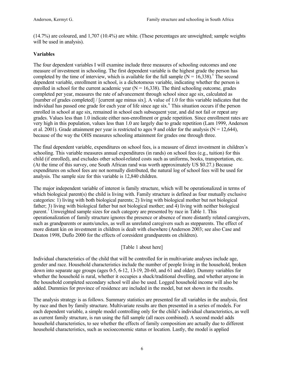(14.7%) are coloured, and 1,707 (10.4%) are white. (These percentages are unweighted; sample weights will be used in analysis).

#### **Variables**

The four dependent variables I will examine include three measures of schooling outcomes and one measure of investment in schooling. The first dependent variable is the highest grade the person has completed by the time of interview, which is available for the full sample  $(N = 16,338)$ .<sup>5</sup> The second dependent variable, enrollment in school, is a dichotomous variable, indicating whether the person is enrolled in school for the current academic year  $(N = 16,338)$ . The third schooling outcome, grades completed per year, measures the rate of advancement through school since age six, calculated as [number of grades completed] / [current age minus six]. A value of 1.0 for this variable indicates that the individual has passed one grade for each year of life since age six.<sup>6</sup> This situation occurs if the person enrolled in school at age six, remained in school each subsequent year, and did not fail or repeat any grades. Values less than 1.0 indicate either non-enrollment or grade repetition. Since enrollment rates are very high in this population, values less than 1.0 are largely due to grade repetition (Lam 1999, Anderson et al. 2001). Grade attainment per year is restricted to ages 9 and older for the analysis ( $N = 12,644$ ), because of the way the OHS measures schooling attainment for grades one through three.

The final dependent variable, expenditures on school fees, is a measure of direct investment in children's schooling. This variable measures annual expenditures (in rands) on school fees (e.g., tuition) for this child (if enrolled), and excludes other school-related costs such as uniforms, books, transportation, etc. (At the time of this survey, one South African rand was worth approximately US \$0.27.) Because expenditures on school fees are not normally distributed, the natural log of school fees will be used for analysis. The sample size for this variable is 12,840 children.

The major independent variable of interest is family structure, which will be operationalized in terms of which biological parent(s) the child is living with. Family structure is defined as four mutually exclusive categories: 1) living with both biological parents; 2) living with biological mother but not biological father; 3) living with biological father but not biological mother; and 4) living with neither biological parent.<sup>7</sup> Unweighted sample sizes for each category are presented by race in Table 1. This operationalization of family structure ignores the presence or absence of more distantly related caregivers, such as grandparents or aunts/uncles, as well as unrelated caregivers such as stepparents. The effect of more distant kin on investment in children is dealt with elsewhere (Anderson 2003; see also Case and Deaton 1998, Duflo 2000 for the effects of coresident grandparents on children).

## [Table 1 about here]

Individual characteristics of the child that will be controlled for in multivariate analyses include age, gender and race. Household characteristics include the number of people living in the household, broken down into separate age groups (ages 0-5, 6-12, 13-19, 20-60, and 61 and older). Dummy variables for whether the household is rural, whether it occupies a shack/traditional dwelling, and whether anyone in the household completed secondary school will also be used. Logged household income will also be added. Dummies for province of residence are included in the model, but not shown in the results.

The analysis strategy is as follows. Summary statistics are presented for all variables in the analysis, first by race and then by family structure. Multivariate results are then presented in a series of models. For each dependent variable, a simple model controlling only for the child's individual characteristics, as well as current family structure, is run using the full sample (all races combined). A second model adds household characteristics, to see whether the effects of family composition are actually due to different household characteristics, such as socioeconomic status or location. Lastly, the model is applied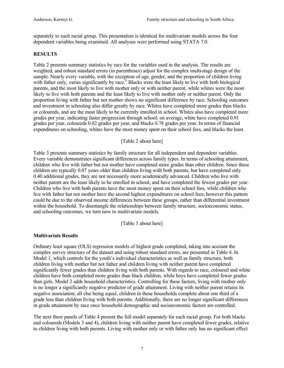separately to each racial group. This presentation is identical for multivariate models across the four dependent variables being examined. All analyses were performed using STATA 7.0.

#### **RESULTS**

Table 2 presents summary statistics by race for the variables used in the analysis. The results are weighted, and robust standard errors (in parentheses) adjust for the complex multi-stage design of the sample. Nearly every variable, with the exception of age, gender, and the proportion of children living with father only, varies significantly by race.<sup>8</sup> Blacks were the least likely to live with both biological parents, and the most likely to live with mother only or with neither parent, while whites were the most likely to live with both parents and the least likely to live with mother only or neither parent. Only the proportion living with father but not mother shows no significant difference by race. Schooling outcomes and investment in schooling also differ greatly by race. Whites have completed more grades than blacks or coloureds, and are the most likely to be currently enrolled in school. Whites also have completed more grades per year, indicating faster progression through school; on average, white have completed 0.91 grades per year, coloureds 0.82 grades per year, and blacks 0.78 grades per year. In terms of financial expenditures on schooling, whites have the most money spent on their school fees, and blacks the least.

[Table 2 about here]

Table 3 presents summary statistics by family structure for all independent and dependent variables. Every variable demonstrates significant differences across family types. In terms of schooling attainment, children who live with father but not mother have completed more grades than other children. Since these children are typically 0.87 years older than children living with both parents, but have completed only 0.40 additional grades, they are not necessarily more academically advanced. Children who live with neither parent are the least likely to be enrolled in school, and have completed the fewest grades per year. Children who live with both parents have the most money spent on their school fees, while children who live with father but not mother have the second highest expenditures on school fees; however this pattern could be due to the observed income differences between these groups, rather than differential investment within the household. To disentangle the relationships between family structure, socioeconomic status, and schooling outcomes, we turn now to multivariate models.

[Table 3 about here]

#### **Multivariate Results**

Ordinary least square (OLS) regression models of highest grade completed, taking into account the complex survey structure of the dataset and using robust standard errors, are presented in Table 4. In Model 1, which controls for the youth's individual characteristics as well as family structure, both children living with mother but not father and children living with neither parent have completed significantly fewer grades than children living with both parents. With regards to race, coloured and white children have both completed more grades than black children, while boys have completed fewer grades than girls. Model 2 adds household characteristics. Controlling for these factors, living with mother only is no longer a significantly negative predictor of grade attainment. Living with neither parent retains its negative association; all else being equal, children in these households complete about one third of a grade less than children living with both parents. Additionally, there are no longer significant differences in grade attainment by race once household demographic and socioeconomic factors are controlled.

The next three panels of Table 4 present the full model separately for each racial group. For both blacks and coloureds (Models 3 and 4), children living with neither parent have completed fewer grades, relative to children living with both parents. Living with mother only or with father only has no significant effect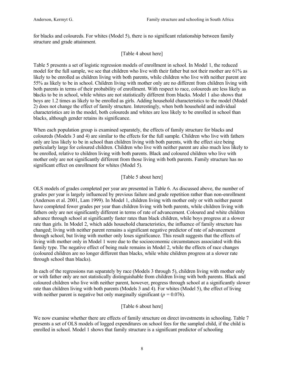for blacks and coloureds. For whites (Model 5), there is no significant relationship between family structure and grade attainment.

#### [Table 4 about here]

Table 5 presents a set of logistic regression models of enrollment in school. In Model 1, the reduced model for the full sample, we see that children who live with their father but not their mother are 61% as likely to be enrolled as children living with both parents, while children who live with neither parent are 55% as likely to be in school. Children living with mother only are no different from children living with both parents in terms of their probability of enrollment. With respect to race, coloureds are less likely as blacks to be in school, while whites are not statistically different from blacks. Model 1 also shows that boys are 1.2 times as likely to be enrolled as girls. Adding household characteristics to the model (Model 2) does not change the effect of family structure. Interestingly, when both household and individual characteristics are in the model, both coloureds and whites are less likely to be enrolled in school than blacks, although gender retains its significance.

When each population group is examined separately, the effects of family structure for blacks and coloureds (Models 3 and 4) are similar to the effects for the full sample. Children who live with fathers only are less likely to be in school than children living with both parents, with the effect size being particularly large for coloured children. Children who live with neither parent are also much less likely to be enrolled, relative to children living with both parents. Black and coloured children who live with mother only are not significantly different from those living with both parents. Family structure has no significant effect on enrollment for whites (Model 5).

#### [Table 5 about here]

OLS models of grades completed per year are presented in Table 6. As discussed above, the number of grades per year is largely influenced by previous failure and grade repetition rather than non-enrollment (Anderson et al. 2001, Lam 1999). In Model 1, children living with mother only or with neither parent have completed fewer grades per year than children living with both parents, while children living with fathers only are not significantly different in terms of rate of advancement. Coloured and white children advance through school at significantly faster rates than black children, while boys progress at a slower rate than girls. In Model 2, which adds household characteristics, the influence of family structure has changed; living with neither parent remains a significant negative predictor of rate of advancement through school, but living with mother only loses significance. This result suggests that the effects of living with mother only in Model 1 were due to the socioeconomic circumstances associated with this family type. The negative effect of being male remains in Model 2, while the effects of race changes (coloured children are no longer different than blacks, while white children progress at a slower rate through school than blacks).

In each of the regressions run separately by race (Models 3 through 5), children living with mother only or with father only are not statistically distinguishable from children living with both parents. Black and coloured children who live with neither parent, however, progress through school at a significantly slower rate than children living with both parents (Models 3 and 4). For whites (Model 5), the effect of living with neither parent is negative but only marginally significant ( $p = 0.076$ ).

## [Table 6 about here]

We now examine whether there are effects of family structure on direct investments in schooling. Table 7 presents a set of OLS models of logged expenditures on school fees for the sampled child, if the child is enrolled in school. Model 1 shows that family structure is a significant predictor of schooling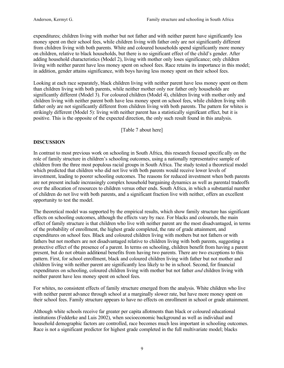expenditures; children living with mother but not father and with neither parent have significantly less money spent on their school fees, while children living with father only are not significantly different from children living with both parents. White and coloured households spend significantly more money on children, relative to black households, but there is no significant effect of the child's gender. After adding household characteristics (Model 2), living with mother only loses significance; only children living with neither parent have less money spent on school fees. Race retains its importance in this model; in addition, gender attains significance, with boys having less money spent on their school fees.

Looking at each race separately, black children living with neither parent have less money spent on them than children living with both parents, while neither mother only nor father only households are significantly different (Model 3). For coloured children (Model 4), children living with mother only and children living with neither parent both have less money spent on school fees, while children living with father only are not significantly different from children living with both parents. The pattern for whites is strikingly different (Model 5): living with neither parent has a statistically significant effect, but it is positive. This is the opposite of the expected direction, the only such result found in this analysis.

[Table 7 about here]

#### **DISCUSSION**

In contrast to most previous work on schooling in South Africa, this research focused specific ally on the role of family structure in children's schooling outcomes, using a nationally representative sample of children from the three most populous racial groups in South Africa. The study tested a theoretical model which predicted that children who did not live with both parents would receive lower levels of investment, leading to poorer schooling outcomes. The reasons for reduced investment when both parents are not present include increasingly complex household bargaining dynamics as well as parental tradeoffs over the allocation of resources to children versus other ends. South Africa, in which a substantial number of children do not live with both parents, and a significant fraction live with neither, offers an excellent opportunity to test the model.

The theoretical model was supported by the empirical results, which show family structure has significant effects on schooling outcomes, although the effects vary by race. For blacks and coloureds, the main effect of family structure is that children who live with neither parent are the most disadvantaged, in terms of the probability of enrollment, the highest grade completed, the rate of grade attainment, and expenditures on school fees. Black and coloured children living with mothers but not fathers or with fathers but not mothers are not disadvantaged relative to children living with both parents, suggesting a protective effect of the presence of a parent. In terms on schooling, children benefit from having a parent present, but do not obtain additional benefits from having two parents. There are two exceptions to this pattern. First, for school enrollment, black and coloured children living with father but not mother and children living with neither parent are significantly less likely to be in school. Second, for financial expenditures on schooling, coloured children living with mother but not father *and* children living with neither parent have less money spent on school fees.

For whites, no consistent effects of family structure emerged from the analysis. White children who live with neither parent advance through school at a marginally slower rate, but have more money spent on their school fees. Family structure appears to have no effects on enrollment in school or grade attainment.

Although white schools receive far greater per capita allotments than black or coloured educational institutions (Fedderke and Luis 2002), when socioeconomic background as well as individual and household demographic factors are controlled, race becomes much less important in schooling outcomes. Race is not a significant predictor for highest grade completed in the full multivariate model; blacks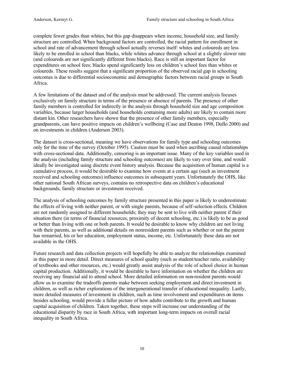complete fewer grades than whites, but this gap disappears when income, household size, and family structure are controlled. When background factors are controlled, the racial pattern for enrollment in school and rate of advancement through school actually reverses itself: whites and coloureds are less likely to be enrolled in school than blacks, while whites advance through school at a slightly slower rate (and coloureds are not significantly different from blacks). Race is still an important factor for expenditures on school fees; blacks spend significantly less on children's school fees than whites or coloureds. These results suggest that a significant proportion of the observed racial gap in schooling outcomes is due to differential socioeconomic and demographic factors between racial groups in South Africa.

A few limitations of the dataset and of the analysis must be addressed. The current analysis focuses exclusively on family structure in terms of the presence or absence of parents. The presence of other family members is controlled for indirectly in the analysis through household size and age composition variables, because larger households (and households containing more adults) are likely to contain more distant kin. Other researchers have shown that the presence of other family members, especially grandparents, can have positive impacts on children's wellbeing (Case and Deaton 1998, Duflo 2000) and on investments in children (Anderson 2003).

The dataset is cross-sectional, meaning we have observations for family type and schooling outcomes only for the time of the survey (October 1995). Caution must be used when ascribing causal relationships with cross-sectional data. Additionally, censoring is an important issue. Many of the key variables used in the analysis (including family structure and schooling outcomes) are likely to vary over time, and would ideally be investigated using discrete event history analysis. Because the acquisition of human capital is a cumulative process, it would be desirable to examine how events at a certain age (such as investment received and schooling outcomes) influence outcomes in subsequent years. Unfortunately the OHS, like other national South African surveys, contains no retrospective data on children's educational backgrounds, family structure or investment received.

The analysis of schooling outcomes by family structure presented in this paper is likely to underestimate the effects of living with neither parent, or with single parents, because of self-selection effects. Children are not randomly assigned to different households; they may be sent to live with neither parent if their situation there (in terms of financial resources, proximity of decent schooling, etc.) is likely to be as good or better than living with one or both parents. It would be desirable to know why children are not living with their parents, as well as additional details on nonresident parents such as whether or not the parent has remarried, his or her education, employment status, income, etc. Unfortunately these data are not available in the OHS.

Future research and data collection projects will hopefully be able to analyze the relationships examined in this paper in more detail. Direct measures of school quality (such as student/teacher ratio, availability of textbooks and other resources, etc.) would greatly assist analysis of the role of school choice in human capital production. Additionally, it would be desirable to have information on whether the children are receiving any financial aid to attend school. More detailed information on non-resident parents would allow us to examine the tradeoffs parents make between seeking employment and direct investment in children, as well as richer explorations of the intergenerational transfer of educational inequality. Lastly, more detailed measures of investment in children, such as time involvement and expenditures on items besides schooling, would provide a fuller picture of how adults contribute to the growth and human capital acquisition of children. Taken together, these steps will increase our understanding of the educational disparity by race in South Africa, with important long-term impacts on overall racial inequality in South Africa.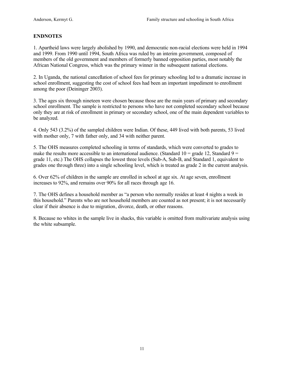#### **ENDNOTES**

1. Apartheid laws were largely abolished by 1990, and democratic non-racial elections were held in 1994 and 1999. From 1990 until 1994, South Africa was ruled by an interim government, composed of members of the old government and members of formerly banned opposition parties, most notably the African National Congress, which was the primary winner in the subsequent national elections.

2. In Uganda, the national cancellation of school fees for primary schooling led to a dramatic increase in school enrollment, suggesting the cost of school fees had been an important impediment to enrollment among the poor (Deininger 2003).

3. The ages six through nineteen were chosen because those are the main years of primary and secondary school enrollment. The sample is restricted to persons who have not completed secondary school because only they are at risk of enrollment in primary or secondary school, one of the main dependent variables to be analyzed.

4. Only 543 (3.2%) of the sampled children were Indian. Of these, 449 lived with both parents, 53 lived with mother only, 7 with father only, and 34 with neither parent.

5. The OHS measures completed schooling in terms of standards, which were converted to grades to make the results more accessible to an international audience. (Standard  $10 =$  grade 12, Standard  $9 =$ grade 11, etc.) The OHS collapses the lowest three levels (Sub-A, Sub-B, and Standard 1, equivalent to grades one through three) into a single schooling level, which is treated as grade 2 in the current analysis.

6. Over 62% of children in the sample are enrolled in school at age six. At age seven, enrollment increases to 92%, and remains over 90% for all races through age 16.

7. The OHS defines a household member as "a person who normally resides at least 4 nights a week in this household." Parents who are not household members are counted as not present; it is not necessarily clear if their absence is due to migration, divorce, death, or other reasons.

8. Because no whites in the sample live in shacks, this variable is omitted from multivariate analysis using the white subsample.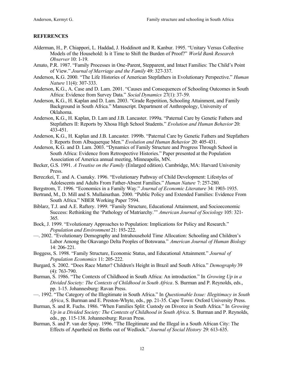#### **REFERENCES**

- Alderman, H., P. Chiappori, L. Haddad, J. Hoddinott and R. Kanbur. 1995. "Unitary Versus Collective Models of the Household: Is it Time to Shift the Burden of Proof?" *World Bank Research Observer* 10: 1-19.
- Amato, P.R. 1987. "Family Processes in One-Parent, Stepparent, and Intact Families: The Child's Point of View." *Journal of Marriage and the Family* 49: 327-337.
- Anderson, K.G. 2000. "The Life Histories of American Stepfathers in Evolutionary Perspective." *Human Nature* 11(4): 307-333.
- Anderson, K.G., A. Case and D. Lam. 2001. "Causes and Consequences of Schooling Outcomes in South Africa: Evidence from Survey Data." *Social Dynamics* 27(1): 37-59.
- Anderson, K.G., H. Kaplan and D. Lam. 2003. "Grade Repetition, Schooling Attainment, and Family Background in South Africa." Manuscript. Department of Anthropology, University of Oklahoma.
- Anderson, K.G., H. Kaplan, D. Lam and J.B. Lancaster. 1999a. "Paternal Care by Genetic Fathers and Stepfathers II: Reports by Xhosa High School Students." *Evolution and Human Behavior* 20: 433-451.
- Anderson, K.G., H. Kaplan and J.B. Lancaster. 1999b. "Paternal Care by Genetic Fathers and Stepfathers I: Reports from Albuquerque Men." *Evolution and Human Behavior* 20: 405-431.
- Anderson, K.G. and D. Lam. 2003. "Dynamics of Family Structure and Progress Through School in South Africa: Evidence from Retrospective Histories." Paper presented at the Population Association of America annual meeting, Minneapolis, MN.
- Becker, G.S. 1991. *A Treatise on the Family* (Enlarged edition). Cambridge, MA: Harvard University Press.
- Bereczkei, T. and A. Csanaky. 1996. "Evolutionary Pathway of Child Development: Lifestyles of Adolescents and Adults From Father-Absent Families." *Human Nature* 7: 257-280.
- Bergstrom, T. 1996. "Economics in a Family Way." *Journal of Economic Literature* 34: 1903-1935.
- Bertrand, M., D. Mill and S. Mullainathan. 2000. "Public Policy and Extended Families: Evidence From South Africa." NBER Working Paper 7594.
- Biblarz, T.J. and A.E. Raftery. 1999. "Family Structure, Educational Attainment, and Socioeconomic Success: Rethinking the 'Pathology of Matriarchy.'" *American Journal of Sociology* 105: 321- 365.
- Bock, J. 1999. "Evolutionary Approaches to Population: Implications for Policy and Research." *Population and Environment* 21: 193-222.
- —. 2002. "Evolutionary Demography and Intrahousehold Time Allocation: Schooling and Children's Labor Among the Okavango Delta Peoples of Botswana." *American Journal of Human Biology* 14: 206-221.
- Boggess, S. 1998. "Family Structure, Economic Status, and Educational Attainment." *Journal of Population Economics* 11: 205-222.
- Burgard, S. 2002. "Does Race Matter? Children's Height in Brazil and South Africa." *Demography* 39 (4): 763-790.
- Burman, S. 1986. "The Contexts of Childhood in South Africa: An introduction." In *Growing Up in a Divided Society: The Contexts of Childhood in South Africa*. S. Burman and P. Reynolds, eds., pp. 1-15. Johannesburg: Ravan Press.
- —. 1992. "The Category of the Illegitimate in South Africa." In *Questionable Issue: Illegitimacy in South Africa*, S. Burman and E. Preston-Whyte, eds., pp. 21-35. Cape Town: Oxford University Press.
- Burman, S. and R. Fuchs. 1986. "When Families Split: Custody on Divorce in South Africa." In *Growing Up in a Divided Society: The Contexts of Childhood in South Africa*. S. Burman and P. Reynolds, eds., pp. 115-138. Johannesburg: Ravan Press.
- Burman, S. and P. van der Spuy. 1996. "The Illegitimate and the Illegal in a South African City: The Effects of Apartheid on Births out of Wedlock." *Journal of Social History* 29: 613-635.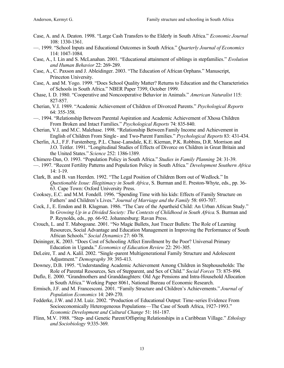- Case, A. and A. Deaton. 1998. "Large Cash Transfers to the Elderly in South Africa." *Economic Journal* 108: 1330-1361.
- —. 1999. "School Inputs and Educational Outcomes in South Africa." *Quarterly Journal of Economics* 114: 1047-1084.
- Case, A., I. Lin and S. McLanahan. 2001. "Educational attainment of siblings in stepfamilies." *Evolution and Human Behavior* 22: 269-289.
- Case, A., C. Paxson and J. Ableidinger. 2003. "The Education of African Orphans." Manuscript, Princeton University.
- Case, A. and M. Yogo. 1999. "Does School Quality Matter? Returns to Education and the Characteristics of Schools in South Africa." NBER Paper 7399, October 1999.
- Chase, I. D. 1980. "Cooperative and Noncooperative Behavior in Animals." *American Naturalist* 115: 827-857.
- Cherian, V.I. 1989. "Academic Achievement of Children of Divorced Parents." *Psychological Reports* 64: 355-358.
- —. 1994. "Relationship Between Parental Aspiration and Academic Achievement of Xhosa Children From Broken and Intact Families." *Psychological Reports* 74: 835-840.
- Cherian, V.I. and M.C. Malehase. 1998. "Relationship Between Family Income and Achievement in English of Children From Single - and Two-Parent Families." *Psychological Reports* 83: 431-434.
- Cherlin, A.J., F.F. Furstenberg, P.L. Chase-Lansdale, K.E. Kiernan, P.K. Robbins, D.R. Morrison and J.O. Teitler. 1991. "Longitudinal Studies of Effects of Divorce on Children in Great Britain and the United States." *Science* 252: 1386-1389.
- Chimere-Dan, O. 1993. "Population Policy in South Africa." *Studies in Family Planning* 24: 31-39.
- —. 1997. "Recent Fertility Patterns and Popula tion Policy in South Africa." *Development Southern Africa* 14: 1-19.
- Clark, B. and B. van Heerden. 1992. "The Legal Position of Children Born out of Wedlock." In *Questionable Issue: Illegitimacy in South Africa*, S. Burman and E. Preston-Whyte, eds., pp. 36- 63. Cape Town: Oxford University Press.
- Cooksey, E.C. and M.M. Fondell. 1996. "Spending Time with his kids: Effects of Family Structure on Fathers' and Children's Lives." *Journal of Marriage and the Family* 58: 693-707.
- Cock, J., E. Emdon and B. Klugman. 1986. "The Care of the Apartheid Child: An Urban African Study." In *Growing Up in a Divided Society: The Contexts of Childhood in South Africa*. S. Burman and P. Reynolds, eds., pp. 66-92. Johannesburg: Ravan Press.
- Crouch, L. and T. Mabogoane. 2001. "No Magic Bullets, Just Tracer Bullets: The Role of Learning Resources, Social Advantage and Education Management in Improving the Performance of South African Schools." *Social Dynamics* 27: 60-78.
- Deininger, K. 2003. "Does Cost of Schooling Affect Enrollment by the Poor? Universal Primary Education in Uganda." *Economics of Education Review* 22: 291-305.
- DeLeire, T. and A. Kalil. 2002. "Single -parent Multigenerational Family Structure and Adolescent Adjustment." *Demography* 39: 393-413.
- Downey, D.B. 1995. "Understanding Academic Achievement Among Children in Stephouseholds: The Role of Parental Resources, Sex of Stepparent, and Sex of Child." *Social Forces* 73: 875-894.
- Duflo, E. 2000. "Grandmothers and Granddaughters: Old Age Pensions and Intra-Household Allocation in South Africa." Working Paper 8061, National Bureau of Economic Research.
- Ermisch, J.F. and M. Francesconi. 2001. "Family Structure and Children's Achievements." *Journal of Population Economics* 14: 249-270.
- Fedderke, J.W. and J.M. Luiz. 2002. "Production of Educational Output: Time-series Evidence From Socioeconomically Heterogeneous Populations—The Case of South Africa, 1927-1993." *Economic Development and Cultural Change* 51: 161-187.
- Flinn, M.V. 1988. "Step- and Genetic Parent/Offspring Relationships in a Caribbean Village." *Ethology and Sociobiology* 9:335-369.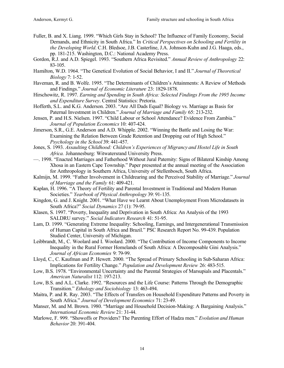- Fuller, B. and X. Liang. 1999. "Which Girls Stay in School? The Influence of Family Economy, Social Demands, and Ethnicity in South Africa." In *Critical Perspectives on Schooling and Fertility in the Developing World*. C.H. Bledsoe, J.B. Casterline, J.A. Johnson-Kuhn and J.G. Haaga, eds., pp. 181-215. Washington, D.C.: National Academy Press.
- Gordon, R.J. and A.D. Spiegel. 1993. "Southern Africa Revisited." *Annual Review of Anthropology* 22: 83-105.
- Hamilton, W.D. 1964. "The Genetical Evolution of Social Behavior, I and II." *Journal of Theoretical Biology* 7: 1-52.
- Haveman, R. and B. Wolfe. 1995. "The Determinants of Children's Attainments: A Review of Methods and Findings." *Journal of Economic Literature* 23: 1829-1878.
- Hirschowitz, R. 1997. *Earning and Spending in South Africa: Selected Findings From the 1995 Income and Expenditure Survey*. Central Statistics: Pretoria.
- Hofferth, S.L. and K.G. Anderson. 2003. "Are All Dads Equal? Biology vs. Marriage as Basis for Paternal Investment in Children." *Journal of Marriage and Family* 65: 213-232.
- Jensen, P. and H.S. Nielsen. 1997. "Child Labour or School Attendance? Evidence From Zambia." *Journal of Population Economics* 10: 407-424.
- Jimerson, S.R., G.E. Anderson and A.D. Whipple. 2002. "Winning the Battle and Losing the War: Examining the Relation Between Grade Retention and Dropping out of High School." *Psychology in the School* 39: 441-457.
- Jones, S. 1993. *Assaulting Childhood: Children's Experiences of Migrancy and Hostel Life in South Africa.* Johannesburg: Witwatersrand University Press.
- —. 1998. "Enacted Marriages and Fatherhood Without Jural Paternity: Signs of Bilateral Kinship Among Xhosa in an Eastern Cape Township." Paper presented at the annual meeting of the Association for Anthropology in Southern Africa, University of Stellenbosch, South Africa.
- Kalmijn, M. 1999. "Father Involvement in Childrearing and the Perceived Stability of Marriage." *Journal of Marriage and the Family* 61: 409-421.
- Kaplan, H. 1996. "A Theory of Fertility and Parental Investment in Traditional and Modern Human Societies." *Yearbook of Physical Anthropology* 39: 91-135.
- Kingdon, G. and J. Knight. 2001. "What Have we Learnt About Unemployment From Microdatasets in South Africa?" *Social Dynamics* 27 (1): 79-95.
- Klasen, S. 1997. "Poverty, Inequality and Deprivation in South Africa: An Analysis of the 1993 SALDRU survey." *Social Indicators Research* 41: 51-95.
- Lam, D. 1999. "Generating Extreme Inequality: Schooling, Earnings, and Intergenerational Transmission of Human Capital in South Africa and Brazil." PSC Research Report No. 99-439. Population Studied Center, University of Michigan.
- Leibbrandt, M., C. Woolard and I. Woolard. 2000. "The Contribution of Income Components to Income Inequality in the Rural Former Homelands of South Africa: A Decomposable Gini Analysis." *Journal of African Economies* 9: 79-99.
- Lloyd, C., C. Kaufman and P. Hewett. 2000. "The Spread of Primary Schooling in Sub-Saharan Africa: Implications for Fertility Change." *Population and Development Review* 26: 483-515.
- Low, B.S. 1978. "Environmental Uncertainty and the Parental Strategies of Marsupials and Placentals." *American Naturalist* 112: 197-213.
- Low, B.S. and A.L. Clarke. 1992. "Resources and the Life Course: Patterns Through the Demographic Transition." *Ethology and Sociobiology* 13: 463-494.
- Maitra, P. and R. Ray. 2003. "The Effects of Transfers on Household Expenditure Patterns and Poverty in South Africa." *Journal of Development Economics* 71: 23-49.
- Manser, M. and M. Brown. 1980. "Marriage and Household Decision-Making: A Bargaining Analysis." *International Economic Review* 21: 31-44.
- Marlowe, F. 999. "Showoffs or Providers? The Parenting Effort of Hadza men." *Evolution and Human Behavior* 20: 391-404.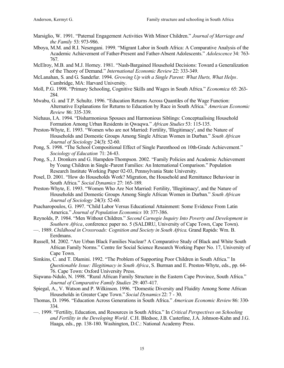- Marsiglio, W. 1991. "Paternal Engagement Activities With Minor Children." *Journal of Marriage and the Family* 53: 973-986.
- Mboya, M.M. and R.I. Nesengani. 1999. "Migrant Labor in South Africa: A Comparative Analysis of the Academic Achievement of Father-Present and Father-Absent Adolescents." *Adolescence* 34: 763- 767.
- McElroy, M.B. and M.J. Horney. 1981. "Nash-Bargained Household Decisions: Toward a Generalization of the Theory of Demand." *International Economic Review* 22: 333-349.
- McLanahan, S. and G. Sandefur. 1994. *Growing Up with a Single Parent: What Hurts, What Helps*. Cambridge, MA: Harvard University.
- Moll, P.G. 1998. "Primary Schooling, Cognitive Skills and Wages in South Africa." *Economica* 65: 263- 284.
- Mwabu, G. and T.P. Schultz. 1996. "Education Returns Across Quantiles of the Wage Function: Alternative Explanations for Returns to Education by Race in South Africa." *American Economic Review* 86: 335-339.
- Niehaus, I.A. 1994. "Disharmonious Spouses and Harmonious Siblings: Conceptualising Household Formation Among Urban Residents in Qwaqwa." *African Studies* 53: 115-135.
- Preston-Whyte, E. 1993. "Women who are not Married: Fertility, 'Illegitimacy', and the Nature of Households and Domestic Groups Among Single African Women in Durban." *South African Journal of Sociology* 24(3): 52-60.
- Pong, S. 1998. "The School Compositional Effect of Single Parenthood on 10th-Grade Achievement." *Sociology of Education* 71: 24-43.
- Pong, S., J. Dronkers and G. Hampden-Thompson. 2002. "Family Policies and Academic Achievement by Young Children in Single-Parent Families: An International Comparison." Population Research Institute Working Paper 02-03, Pennsylvania State University.
- Posel, D. 2001. "How do Households Work? Migration, the Household and Remittance Behaviour in South Africa." *Social Dynamics* 27: 165-189.
- Preston-Whyte, E. 1993. "Women Who Are Not Married: Fertility, 'Illegitimacy', and the Nature of Households and Domestic Groups Among Single African Women in Durban." *South African Journal of Sociology* 24(3): 52-60.
- Psacharopoulos, G. 1997. "Child Labor Versus Educational Attainment: Some Evidence From Latin America." *Journal of Population Economics* 10: 377-386.
- Reynolds, P. 1984. "Men Without Children." *Second Carnegie Inquiry Into Poverty and Development in Southern Africa*, conference paper no. 5 (SALDRU, University of Cape Town, Cape Town).
- —. 1989. *Childhood in Crossroads: Cognition and Society in South Africa*. Grand Rapids: Wm. B. Eerdmans.
- Russell, M. 2002. "Are Urban Black Families Nuclear? A Comparative Study of Black and White South African Family Norms." Centre for Social Science Research Working Paper No. 17, University of Cape Town.
- Simkins, C. and T. Dlamini. 1992. "The Problem of Supporting Poor Children in South Africa." In *Questionable Issue: Illegitimacy in South Africa*, S. Burman and E. Preston-Whyte, eds., pp. 64- 76. Cape Town: Oxford University Press.
- Siqwana-Ndulo, N. 1998. "Rural African Family Structure in the Eastern Cape Province, South Africa." *Journal of Comparative Family Studies* 29: 407-417.
- Spiegal, A., V. Watson and P. Wilkinson. 1996. "Domestic Diversity and Fluidity Among Some African Households in Greater Cape Town." *Social Dynamics* 22: 7 - 30.
- Thomas, D. 1996. "Education Across Generations in South Africa." *American Economic Review* 86: 330- 334.
- —. 1999. "Fertility, Education, and Resources in South Africa." In *Critical Perspectives on Schooling and Fertility in the Developing World*. C.H. Bledsoe, J.B. Casterline, J.A. Johnson-Kuhn and J.G. Haaga, eds., pp. 138-180. Washington, D.C.: National Academy Press.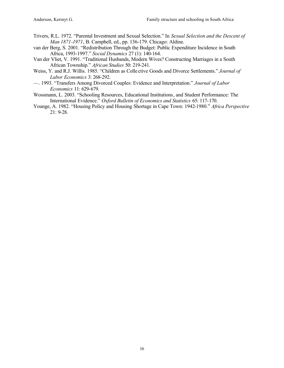- Trivers, R.L. 1972. "Parental Investment and Sexual Selection." In *Sexual Selection and the Descent of Man 1871-1971*, B. Campbell, ed., pp. 136-179. Chicago: Aldine.
- van der Berg, S. 2001. "Redistribution Through the Budget: Public Expenditure Incidence in South Africa, 1993-1997." *Social Dynamics* 27 (1): 140-164.
- Van der Vliet, V. 1991. "Traditional Husbands, Modern Wives? Constructing Marriages in a South African Township." *African Studies* 50: 219-241.
- Weiss, Y. and R.J. Willis. 1985. "Children as Colle ctive Goods and Divorce Settlements." *Journal of Labor Economics* 3: 268-292.
- —. 1993. "Transfers Among Divorced Couples: Evidence and Interpretation." *Journal of Labor Economics* 11: 629-679.
- Wossmann, L. 2003. "Schooling Resources, Educational Institutions, and Student Performance: The International Evidence." *Oxford Bulletin of Economics and Statistics* 65: 117-170.
- Younge, A. 1982. "Housing Policy and Housing Shortage in Cape Town: 1942-1980." *Africa Perspective*  21: 9-28.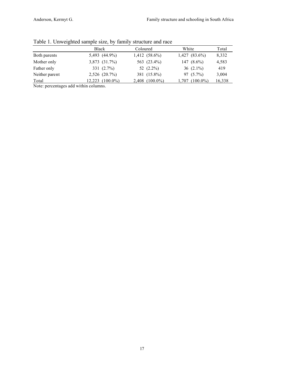|                | Table 1. Onweighted sample size, by family structure and face |                     |                    |        |
|----------------|---------------------------------------------------------------|---------------------|--------------------|--------|
|                | <b>Black</b>                                                  | Coloured            | White              | Total  |
| Both parents   | 5,493 (44.9%)                                                 | $1,412$ $(58.6\%)$  | $1,427$ $(83.6\%)$ | 8,332  |
| Mother only    | 3,873 (31.7%)                                                 | 563 (23.4%)         | 147 $(8.6\%)$      | 4,583  |
| Father only    | 331(2.7%)                                                     | 52 $(2.2\%)$        | 36 $(2.1\%)$       | 419    |
| Neither parent | 2,526 (20.7%)                                                 | 381 (15.8%)         | $97(5.7\%)$        | 3,004  |
| Total          | $12,223$ $(100.0\%)$                                          | $2,408$ $(100.0\%)$ | 1,707 (100.0%)     | 16,338 |

Table 1. Unweighted sample size, by family structure and race

Note: percentages add within columns.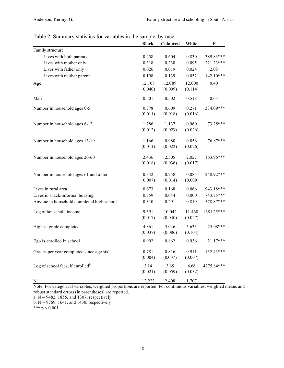| Table 2. Summary statistics for variables in the sample, by race |  |  |  |  |  |  |  |  |  |
|------------------------------------------------------------------|--|--|--|--|--|--|--|--|--|
|------------------------------------------------------------------|--|--|--|--|--|--|--|--|--|

|                                                      | <b>Black</b> | Coloured | White   | $\mathbf F$ |
|------------------------------------------------------|--------------|----------|---------|-------------|
| Family structure                                     |              |          |         |             |
| Lives with both parents                              | 0.458        | 0.604    | 0.830   | 389.83***   |
| Lives with mother only                               | 0.318        | 0.238    | 0.095   | 221.23***   |
| Lives with father only                               | 0.026        | 0.019    | 0.024   | 2.08        |
| Lives with neither parent                            | 0.198        | 0.139    | 0.052   | $142.10***$ |
| Age                                                  | 12.108       | 12.089   | 12.000  | 0.40        |
|                                                      | (0.040)      | (0.099)  | (0.114) |             |
| Male                                                 | 0.501        | 0.502    | 0.518   | 0.65        |
| Number in household ages 0-5                         | 0.778        | 0.609    | 0.271   | 334.09***   |
|                                                      | (0.011)      | (0.018)  | (0.016) |             |
| Number in household ages 6-12                        | 1.286        | 1.137    | 0.960   | 73.25***    |
|                                                      | (0.012)      | (0.023)  | (0.026) |             |
| Number in household ages 13-19                       | 1.166        | 0.980    | 0.856   | 76.87***    |
|                                                      | (0.011)      | (0.022)  | (0.026) |             |
| Number in household ages 20-60                       | 2.436        | 2.505    | 2.027   | 163.96***   |
|                                                      | (0.018)      | (0.036)  | (0.017) |             |
| Number in household ages 61 and older                | 0.342        | 0.258    | 0.085   | 248.92***   |
|                                                      | (0.007)      | (0.014)  | (0.009) |             |
| Lives in rural area                                  | 0.673        | 0.168    | 0.066   | 943.18***   |
| Lives in shack/informal housing                      | 0.359        | 0.044    | 0.000   | 743.75***   |
| Anyone in household completed high school            | 0.310        | 0.291    | 0.819   | 578.87***   |
| Log of household income                              | 9.591        | 10.042   | 11.468  | 1681.25***  |
|                                                      | (0.017)      | (0.030)  | (0.027) |             |
| Highest grade completed                              | 4.861        | 5.046    | 5.633   | 25.08***    |
|                                                      | (0.037)      | (0.086)  | (0.104) |             |
| Ego is enrolled in school                            | 0.902        | 0.862    | 0.936   | $21.17***$  |
| Grades per year completed since age six <sup>a</sup> | 0.781        | 0.816    | 0.911   | 132.43***   |
|                                                      | (0.004)      | (0.007)  | (0.007) |             |
| Log of school fees, if enrolled <sup>b</sup>         | 3.14         | 3.65     | 6.66    | 4275.84***  |
|                                                      | (0.021)      | (0.059)  | (0.032) |             |
| N                                                    | 12,223       | 2,408    | 1,707   |             |

Note: For categorical variables, weighted proportions are reported. For continuous variables, weighted means and robust standard errors (in parentheses) are reported.

a.  $N = 9482$ , 1855, and 1307, respectively

b.  $N = 9769$ , 1641, and 1430, respectively

\*\*\*  $p < 0.001$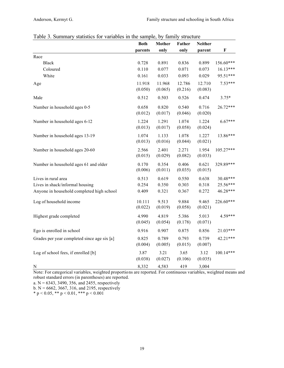|                                             | <b>Both</b> | Mother  | Father  | <b>Neither</b> |             |
|---------------------------------------------|-------------|---------|---------|----------------|-------------|
|                                             | parents     | only    | only    | parent         | $\mathbf F$ |
| Race                                        |             |         |         |                |             |
| Black                                       | 0.728       | 0.891   | 0.836   | 0.899          | 156.60***   |
| Coloured                                    | 0.110       | 0.077   | 0.071   | 0.073          | $16.13***$  |
| White                                       | 0.161       | 0.033   | 0.093   | 0.029          | 95.51***    |
| Age                                         | 11.918      | 11.968  | 12.786  | 12.710         | $7.53***$   |
|                                             | (0.050)     | (0.065) | (0.216) | (0.083)        |             |
| Male                                        | 0.512       | 0.503   | 0.526   | 0.474          | $3.75*$     |
| Number in household ages 0-5                | 0.658       | 0.820   | 0.540   | 0.716          | 26.72***    |
|                                             | (0.012)     | (0.017) | (0.046) | (0.020)        |             |
| Number in household ages 6-12               | 1.224       | 1.291   | 1.074   | 1.224          | $6.67***$   |
|                                             | (0.013)     | (0.017) | (0.058) | (0.024)        |             |
| Number in household ages 13-19              | 1.074       | 1.133   | 1.078   | 1.227          | 13.86***    |
|                                             | (0.013)     | (0.016) | (0.044) | (0.021)        |             |
| Number in household ages 20-60              | 2.566       | 2.401   | 2.271   | 1.954          | 105.27***   |
|                                             | (0.015)     | (0.029) | (0.082) | (0.033)        |             |
| Number in household ages 61 and older       | 0.170       | 0.354   | 0.406   | 0.621          | 329.89***   |
|                                             | (0.006)     | (0.011) | (0.035) | (0.015)        |             |
| Lives in rural area                         | 0.513       | 0.619   | 0.550   | 0.638          | 30.48***    |
| Lives in shack/informal housing             | 0.254       | 0.350   | 0.303   | 0.318          | 25.56***    |
| Anyone in household completed high school   | 0.409       | 0.321   | 0.367   | 0.272          | 46.28***    |
| Log of household income                     | 10.111      | 9.513   | 9.884   | 9.465          | 226.60***   |
|                                             | (0.022)     | (0.019) | (0.058) | (0.021)        |             |
| Highest grade completed                     | 4.990       | 4.819   | 5.386   | 5.013          | 4.59***     |
|                                             | (0.045)     | (0.054) | (0.178) | (0.071)        |             |
| Ego is enrolled in school                   | 0.916       | 0.907   | 0.875   | 0.856          | 21.03***    |
| Grades per year completed since age six [a] | 0.825       | 0.789   | 0.793   | 0.739          | 42.21***    |
|                                             | (0.004)     | (0.005) | (0.015) | (0.007)        |             |
| Log of school fees, if enrolled [b]         | 3.87        | 3.21    | 3.65    | 3.12           | 100.14***   |
|                                             | (0.038)     | (0.027) | (0.106) | (0.035)        |             |
| N                                           | 8,332       | 4,583   | 419     | 3,004          |             |

Table 3. Summary statistics for variables in the sample, by family structure

Note: For categorical variables, weighted proportions are reported. For continuous variables, weighted means and robust standard errors (in parentheses) are reported.

a.  $N = 6343$ , 3490, 356, and 2455, respectively

b.  $N = 6662$ , 3667, 316, and 2195, respectively

\* p < 0.05, \*\* p < 0.01, \*\*\* p < 0.001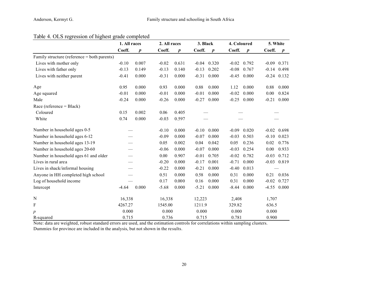## Table 4. OLS regression of highest grade completed

|                                             | 1. All races<br>2. All races |                  |         | 3. Black         |         | 4. Coloured      |         | 5. White         |         |                  |
|---------------------------------------------|------------------------------|------------------|---------|------------------|---------|------------------|---------|------------------|---------|------------------|
|                                             | Coeff.                       | $\boldsymbol{p}$ | Coeff.  | $\boldsymbol{p}$ | Coeff.  | $\boldsymbol{p}$ | Coeff.  | $\boldsymbol{p}$ | Coeff.  | $\boldsymbol{p}$ |
| Family structure (reference = both parents) |                              |                  |         |                  |         |                  |         |                  |         |                  |
| Lives with mother only                      | $-0.10$                      | 0.007            | $-0.02$ | 0.631            | $-0.04$ | 0.320            | $-0.02$ | 0.792            |         | $-0.09$ $0.371$  |
| Lives with father only                      | $-0.13$                      | 0.149            | $-0.13$ | 0.140            | $-0.13$ | 0.202            | $-0.08$ | 0.767            | $-0.14$ | 0.498            |
| Lives with neither parent                   | $-0.41$                      | 0.000            | $-0.31$ | 0.000            | $-0.31$ | 0.000            | $-0.45$ | 0.000            |         | $-0.24$ 0.132    |
| Age                                         | 0.95                         | 0.000            | 0.93    | 0.000            | 0.88    | 0.000            | 1.12    | 0.000            | 0.88    | 0.000            |
| Age squared                                 | $-0.01$                      | 0.000            | $-0.01$ | 0.000            | $-0.01$ | 0.000            | $-0.02$ | 0.000            | 0.00    | 0.824            |
| Male                                        | $-0.24$                      | 0.000            | $-0.26$ | 0.000            | $-0.27$ | 0.000            | $-0.25$ | 0.000            | $-0.21$ | 0.000            |
| Race (reference = Black)                    |                              |                  |         |                  |         |                  |         |                  |         |                  |
| Coloured                                    | 0.15                         | 0.002            | 0.06    | 0.405            |         |                  |         |                  |         |                  |
| White                                       | 0.74                         | 0.000            | $-0.03$ | 0.597            |         |                  |         |                  |         |                  |
| Number in household ages 0-5                |                              |                  | $-0.10$ | 0.000            | $-0.10$ | 0.000            | $-0.09$ | 0.020            | $-0.02$ | 0.698            |
| Number in household ages 6-12               |                              |                  | $-0.09$ | 0.000            | $-0.07$ | 0.000            | $-0.03$ | 0.503            | $-0.10$ | 0.023            |
| Number in household ages 13-19              |                              |                  | 0.05    | 0.002            | 0.04    | 0.042            | 0.05    | 0.236            | 0.02    | 0.776            |
| Number in household ages 20-60              |                              |                  | $-0.06$ | 0.000            | $-0.07$ | 0.000            | $-0.03$ | 0.254            | 0.00    | 0.933            |
| Number in household ages 61 and older       |                              |                  | 0.00    | 0.907            | $-0.01$ | 0.705            | $-0.02$ | 0.782            | $-0.03$ | 0.712            |
| Lives in rural area                         |                              |                  | $-0.20$ | 0.000            | $-0.17$ | 0.001            | $-0.71$ | 0.000            |         | $-0.03$ $0.819$  |
| Lives in shack/informal housing             |                              |                  | $-0.22$ | 0.000            | $-0.21$ | 0.000            | $-0.40$ | 0.013            |         |                  |
| Anyone in HH completed high school          |                              |                  | 0.51    | 0.000            | 0.58    | 0.000            | 0.31    | 0.000            | 0.21    | 0.036            |
| Log of household income                     |                              |                  | 0.17    | 0.000            | 0.16    | 0.000            | 0.31    | 0.000            | $-0.02$ | 0.727            |
| Intercept                                   | $-4.64$                      | 0.000            | $-5.68$ | 0.000            | $-5.21$ | 0.000            | $-8.44$ | 0.000            |         | $-4.55$ 0.000    |
| N                                           | 16,338                       |                  | 16,338  |                  | 12,223  |                  | 2,408   |                  | 1,707   |                  |
| F                                           | 4267.27                      |                  | 1545.00 |                  | 1211.9  |                  | 329.82  |                  | 636.5   |                  |
| $\boldsymbol{p}$                            | 0.000                        |                  | 0.000   |                  | 0.000   |                  | 0.000   |                  | 0.000   |                  |
| R-squared                                   | 0.715                        |                  | 0.736   |                  | 0.715   |                  | 0.781   |                  | 0.900   |                  |

Note: data are weighted, robust standard errors are used, and the estimation controls for correlations within sampling clusters. Dummies for province are included in the analysis, but not shown in the results.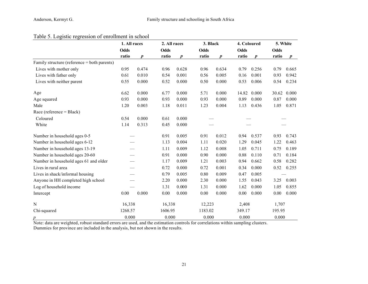## Table 5. Logistic regression of enrollment in school

|                                             | 1. All races |                  | 2. All races |                  | 3. Black |                  | 4. Coloured |                  | 5. White |                  |
|---------------------------------------------|--------------|------------------|--------------|------------------|----------|------------------|-------------|------------------|----------|------------------|
|                                             | Odds         |                  | Odds         |                  | Odds     |                  | <b>Odds</b> |                  | Odds     |                  |
|                                             | ratio        | $\boldsymbol{p}$ | ratio        | $\boldsymbol{p}$ | ratio    | $\boldsymbol{p}$ | ratio       | $\boldsymbol{p}$ | ratio    | $\boldsymbol{p}$ |
| Family structure (reference = both parents) |              |                  |              |                  |          |                  |             |                  |          |                  |
| Lives with mother only                      | 0.95         | 0.474            | 0.96         | 0.628            | 0.96     | 0.634            | 0.79        | 0.256            | 0.79     | 0.665            |
| Lives with father only                      | 0.61         | 0.010            | 0.54         | 0.001            | 0.56     | 0.005            | 0.16        | 0.001            | 0.93     | 0.942            |
| Lives with neither parent                   | 0.55         | 0.000            | 0.52         | 0.000            | 0.50     | 0.000            | 0.53        | 0.006            | 0.54     | 0.234            |
| Age                                         | 6.62         | 0.000            | 6.77         | 0.000            | 5.71     | 0.000            | 14.82       | 0.000            | 30.62    | 0.000            |
| Age squared                                 | 0.93         | 0.000            | 0.93         | 0.000            | 0.93     | 0.000            | 0.89        | 0.000            | 0.87     | 0.000            |
| Male                                        | 1.20         | 0.003            | 1.18         | 0.011            | 1.23     | 0.004            | 1.13        | 0.436            | 1.05     | 0.871            |
| Race (reference = Black)                    |              |                  |              |                  |          |                  |             |                  |          |                  |
| Coloured                                    | 0.54         | 0.000            | 0.61         | 0.000            |          |                  |             |                  |          |                  |
| White                                       | 1.14         | 0.313            | 0.45         | 0.000            |          |                  |             |                  |          |                  |
| Number in household ages 0-5                |              |                  | 0.91         | 0.005            | 0.91     | 0.012            | 0.94        | 0.537            | 0.93     | 0.743            |
| Number in household ages 6-12               |              |                  | 1.13         | 0.004            | 1.11     | 0.020            | 1.29        | 0.045            | 1.22     | 0.463            |
| Number in household ages 13-19              |              |                  | 1.11         | 0.009            | 1.12     | 0.008            | 1.05        | 0.711            | 0.75     | 0.189            |
| Number in household ages 20-60              |              |                  | 0.91         | 0.000            | 0.90     | 0.000            | 0.88        | 0.110            | 0.71     | 0.184            |
| Number in household ages 61 and older       |              |                  | 1.17         | 0.009            | 1.21     | 0.003            | 0.94        | 0.662            | 0.58     | 0.282            |
| Lives in rural area                         |              |                  | 0.72         | 0.000            | 0.72     | 0.001            | 0.34        | 0.000            | 0.52     | 0.255            |
| Lives in shack/informal housing             |              |                  | 0.79         | 0.005            | 0.80     | 0.009            | 0.47        | 0.005            |          |                  |
| Anyone in HH completed high school          |              |                  | 2.20         | 0.000            | 2.30     | 0.000            | 1.55        | 0.043            | 3.25     | 0.003            |
| Log of household income                     |              |                  | 1.31         | 0.000            | 1.31     | 0.000            | 1.62        | 0.000            | 1.05     | 0.855            |
| Intercept                                   | 0.00         | 0.000            | 0.00         | 0.000            | 0.00     | 0.000            | 0.00        | 0.000            | 0.00     | 0.000            |
| N                                           | 16,338       |                  | 16,338       |                  | 12,223   |                  | 2,408       |                  | 1,707    |                  |
| Chi-squared                                 | 1268.57      |                  | 1606.95      |                  | 1183.02  |                  | 349.17      |                  | 195.95   |                  |
| р                                           | 0.000        |                  | 0.000        |                  | 0.000    |                  | 0.000       |                  | 0.000    |                  |

Note: data are weighted, robust standard errors are used, and the estimation controls for correlations within sampling clusters. Dummies for province are included in the analysis, but not shown in the results.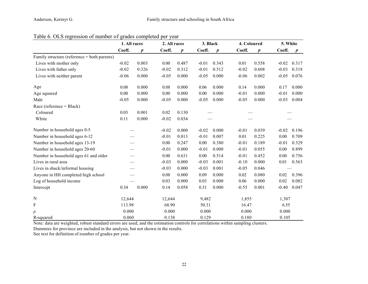|                                             | 1. All races  |       | 2. All races |                  | 3. Black |                  | 4. Coloured |                  | 5. White |                  |
|---------------------------------------------|---------------|-------|--------------|------------------|----------|------------------|-------------|------------------|----------|------------------|
|                                             | Coeff.        | p     | Coeff.       | $\boldsymbol{p}$ | Coeff.   | $\boldsymbol{p}$ | Coeff.      | $\boldsymbol{p}$ | Coeff.   | $\boldsymbol{p}$ |
| Family structure (reference = both parents) |               |       |              |                  |          |                  |             |                  |          |                  |
| Lives with mother only                      | $-0.02$       | 0.003 | 0.00         | 0.487            | $-0.01$  | 0.343            | 0.01        | 0.558            | $-0.02$  | 0.317            |
| Lives with father only                      | $-0.02$       | 0.326 | $-0.02$      | 0.312            | $-0.01$  | 0.512            | $-0.02$     | 0.608            | $-0.03$  | 0.318            |
| Lives with neither parent                   | $-0.06$       | 0.000 | $-0.05$      | 0.000            | $-0.05$  | 0.000            | $-0.06$     | 0.002            | $-0.05$  | 0.076            |
| Age                                         | 0.08          | 0.000 | 0.08         | 0.000            | 0.06     | 0.000            | 0.14        | 0.000            | 0.17     | 0.000            |
| Age squared                                 | 0.00          | 0.000 | 0.00         | 0.000            | 0.00     | 0.000            | $-0.01$     | 0.000            | $-0.01$  | 0.000            |
| Male                                        | $-0.05$       | 0.000 | $-0.05$      | 0.000            | $-0.05$  | 0.000            | $-0.05$     | 0.000            | $-0.03$  | 0.004            |
| Race (reference = Black)                    |               |       |              |                  |          |                  |             |                  |          |                  |
| Coloured                                    | 0.001<br>0.03 |       | 0.02         | 0.130            |          |                  |             |                  |          |                  |
| White                                       | 0.11          | 0.000 | $-0.02$      | 0.034            |          |                  |             |                  |          |                  |
| Number in household ages 0-5                |               |       | $-0.02$      | 0.000            | $-0.02$  | 0.000            | $-0.01$     | 0.039            | $-0.02$  | 0.196            |
| Number in household ages 6-12               |               |       | $-0.01$      | 0.013            | $-0.01$  | 0.007            | 0.01        | 0.225            | 0.00     | 0.709            |
| Number in household ages 13-19              |               |       | 0.00         | 0.247            | 0.00     | 0.380            | $-0.01$     | 0.189            | $-0.01$  | 0.329            |
| Number in household ages 20-60              |               |       | $-0.01$      | 0.000            | $-0.01$  | 0.000            | $-0.01$     | 0.055            | 0.00     | 0.899            |
| Number in household ages 61 and older       |               |       | 0.00         | 0.631            | 0.00     | 0.514            | $-0.01$     | 0.452            | 0.00     | 0.756            |
| Lives in rural area                         |               |       | $-0.03$      | 0.000            | $-0.03$  | 0.001            | $-0.10$     | 0.000            | 0.01     | 0.563            |
| Lives in shack/informal housing             |               |       | $-0.03$      | 0.000            | $-0.03$  | 0.001            | $-0.05$     | 0.046            |          |                  |
| Anyone in HH completed high school          |               |       | 0.08         | 0.000            | 0.09     | 0.000            | 0.02        | 0.080            | 0.02     | 0.396            |
| Log of household income                     |               |       | 0.03         | 0.000            | 0.03     | 0.000            | 0.06        | 0.000            | 0.02     | 0.082            |
| Intercept                                   | 0.34          | 0.000 | 0.14         | 0.058            | 0.31     | 0.000            | $-0.55$     | 0.001            | $-0.40$  | 0.047            |
| $\mathbf N$                                 | 12,644        |       | 12,644       |                  | 9,482    |                  | 1,855       |                  | 1,307    |                  |
| F                                           | 113.98        |       | 68.90        |                  | 50.31    |                  | 16.47       |                  | 6.55     |                  |
| $\boldsymbol{p}$                            | 0.000         |       | 0.000        |                  | 0.000    |                  | 0.000       |                  | 0.000    |                  |
| R-squared                                   | 0.060         |       | 0.138        |                  | 0.129    |                  | 0.180       |                  | 0.105    |                  |

Table 6. OLS regression of number of grades completed per year

Note: data are weighted, robust standard errors are used, and the estimation controls for correlations within sampling clusters.

Dummies for province are included in the analysis, but not shown in the results.

See text for definition of number of grades per year.